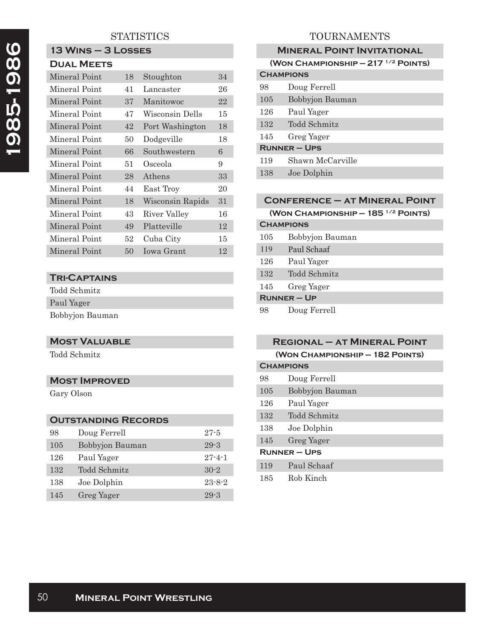# 1985-1986 **1985-1986**

## **STATISTICS**

# **13 Wins – 3 Losses**

| <b>DUAL MEETS</b> |    |                  |    |
|-------------------|----|------------------|----|
| Mineral Point     | 18 | Stoughton        | 34 |
| Mineral Point     | 41 | Lancaster        | 26 |
| Mineral Point     | 37 | Manitowoc        | 22 |
| Mineral Point     | 47 | Wisconsin Dells  | 15 |
| Mineral Point     | 42 | Port Washington  | 18 |
| Mineral Point     | 50 | Dodgeville       | 18 |
| Mineral Point     | 66 | Southwestern     | 6  |
| Mineral Point     | 51 | Osceola          | 9  |
| Mineral Point     | 28 | Athens           | 33 |
| Mineral Point     | 44 | East Troy        | 20 |
| Mineral Point     | 18 | Wisconsin Rapids | 31 |
| Mineral Point     | 43 | River Valley     | 16 |
| Mineral Point     | 49 | Platteville      | 12 |
| Mineral Point     | 52 | Cuba City        | 15 |
| Mineral Point     | 50 | Iowa Grant       | 12 |

## **Tri-Captains**

Todd Schmitz Paul Yager

Bobbyjon Bauman

## **Most Valuable**

Todd Schmitz

## **Most Improved**

Gary Olson

## **Outstanding Records**

| 98  | Doug Ferrell    | $27 - 5$     |
|-----|-----------------|--------------|
| 105 | Bobbyjon Bauman | $29 - 3$     |
| 126 | Paul Yager      | $27 - 4 - 1$ |
| 132 | Todd Schmitz    | $30-2$       |
| 138 | Joe Dolphin     | $23 - 8 - 2$ |
| 145 | Greg Yager      | $29 - 3$     |

## TOURNAMENTS

| <b>MINERAL POINT INVITATIONAL</b> |                                                |  |
|-----------------------------------|------------------------------------------------|--|
|                                   | (WON CHAMPIONSHIP - 217 <sup>1/2</sup> POINTS) |  |
| <b>CHAMPIONS</b>                  |                                                |  |
| 98                                | Doug Ferrell                                   |  |
| 105                               | Bobbyjon Bauman                                |  |
| 126                               | Paul Yager                                     |  |
| 132                               | Todd Schmitz                                   |  |
| 145                               | Greg Yager                                     |  |
|                                   | <b>RUNNER - UPS</b>                            |  |
| 119                               | Shawn McCarville                               |  |
| 138                               | Joe Dolphin                                    |  |
|                                   |                                                |  |

## **Conference – at Mineral Point**

| (WON CHAMPIONSHIP $-185$ $^{1/2}$ POINTS) |                 |  |
|-------------------------------------------|-----------------|--|
| <b>CHAMPIONS</b>                          |                 |  |
| 105                                       | Bobbyjon Bauman |  |
| 119                                       | Paul Schaaf     |  |
| 126                                       | Paul Yager      |  |
| 132                                       | Todd Schmitz    |  |
| 145                                       | Greg Yager      |  |
| $RUNNER - UP$                             |                 |  |
| 98                                        | Doug Ferrell    |  |

|                     | <b>REGIONAL - AT MINERAL POINT</b> |
|---------------------|------------------------------------|
|                     | (WON CHAMPIONSHIP - 182 POINTS)    |
|                     | <b>CHAMPIONS</b>                   |
| 98                  | Doug Ferrell                       |
| 105                 | Bobbyjon Bauman                    |
| 126                 | Paul Yager                         |
| 132                 | Todd Schmitz                       |
| 138                 | Joe Dolphin                        |
| 145                 | Greg Yager                         |
| <b>RUNNER – UPS</b> |                                    |
| 119                 | Paul Schaaf                        |
| 185                 | Rob Kinch                          |